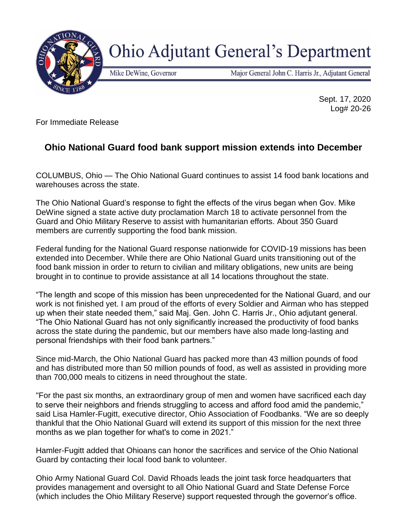

## **Ohio Adjutant General's Department**

Mike DeWine, Governor

Major General John C. Harris Jr., Adjutant General

Sept. 17, 2020 Log# 20-26

For Immediate Release

## **Ohio National Guard food bank support mission extends into December**

COLUMBUS, Ohio — The Ohio National Guard continues to assist 14 food bank locations and warehouses across the state.

The Ohio National Guard's response to fight the effects of the virus began when Gov. Mike DeWine signed a state active duty proclamation March 18 to activate personnel from the Guard and Ohio Military Reserve to assist with humanitarian efforts. About 350 Guard members are currently supporting the food bank mission.

Federal funding for the National Guard response nationwide for COVID-19 missions has been extended into December. While there are Ohio National Guard units transitioning out of the food bank mission in order to return to civilian and military obligations, new units are being brought in to continue to provide assistance at all 14 locations throughout the state.

"The length and scope of this mission has been unprecedented for the National Guard, and our work is not finished yet. I am proud of the efforts of every Soldier and Airman who has stepped up when their state needed them," said Maj. Gen. John C. Harris Jr., Ohio adjutant general. "The Ohio National Guard has not only significantly increased the productivity of food banks across the state during the pandemic, but our members have also made long-lasting and personal friendships with their food bank partners."

Since mid-March, the Ohio National Guard has packed more than 43 million pounds of food and has distributed more than 50 million pounds of food, as well as assisted in providing more than 700,000 meals to citizens in need throughout the state.

"For the past six months, an extraordinary group of men and women have sacrificed each day to serve their neighbors and friends struggling to access and afford food amid the pandemic," said Lisa Hamler-Fugitt, executive director, Ohio Association of Foodbanks. "We are so deeply thankful that the Ohio National Guard will extend its support of this mission for the next three months as we plan together for what's to come in 2021."

Hamler-Fugitt added that Ohioans can honor the sacrifices and service of the Ohio National Guard by contacting their local food bank to volunteer.

Ohio Army National Guard Col. David Rhoads leads the joint task force headquarters that provides management and oversight to all Ohio National Guard and State Defense Force (which includes the Ohio Military Reserve) support requested through the governor's office.